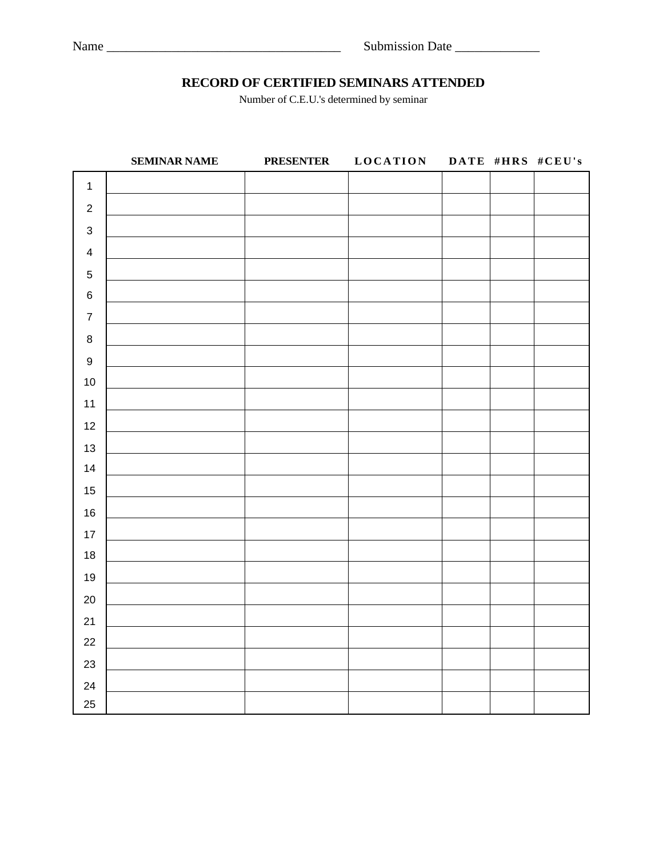## **RECORD OF CERTIFIED SEMINARS ATTENDED**

Number of C.E.U.'s determined by seminar

|                           | <b>SEMINAR NAME</b> | <b>PRESENTER</b> | <b>LOCATION</b> |  | DATE #HRS #CEU's |
|---------------------------|---------------------|------------------|-----------------|--|------------------|
| $\mathbf 1$               |                     |                  |                 |  |                  |
| $\sqrt{2}$                |                     |                  |                 |  |                  |
| $\ensuremath{\mathsf{3}}$ |                     |                  |                 |  |                  |
| $\overline{\mathbf{4}}$   |                     |                  |                 |  |                  |
| $\sqrt{5}$                |                     |                  |                 |  |                  |
| $\,6\,$                   |                     |                  |                 |  |                  |
| $\boldsymbol{7}$          |                     |                  |                 |  |                  |
| $\bf 8$                   |                     |                  |                 |  |                  |
| $\boldsymbol{9}$          |                     |                  |                 |  |                  |
| $10$                      |                     |                  |                 |  |                  |
| $11$                      |                     |                  |                 |  |                  |
| 12                        |                     |                  |                 |  |                  |
| 13                        |                     |                  |                 |  |                  |
| 14                        |                     |                  |                 |  |                  |
| 15                        |                     |                  |                 |  |                  |
| $16\,$                    |                     |                  |                 |  |                  |
| 17                        |                     |                  |                 |  |                  |
| $18$                      |                     |                  |                 |  |                  |
| 19                        |                     |                  |                 |  |                  |
| $20\,$                    |                     |                  |                 |  |                  |
| 21                        |                     |                  |                 |  |                  |
| 22                        |                     |                  |                 |  |                  |
| 23                        |                     |                  |                 |  |                  |
| 24                        |                     |                  |                 |  |                  |
| 25                        |                     |                  |                 |  |                  |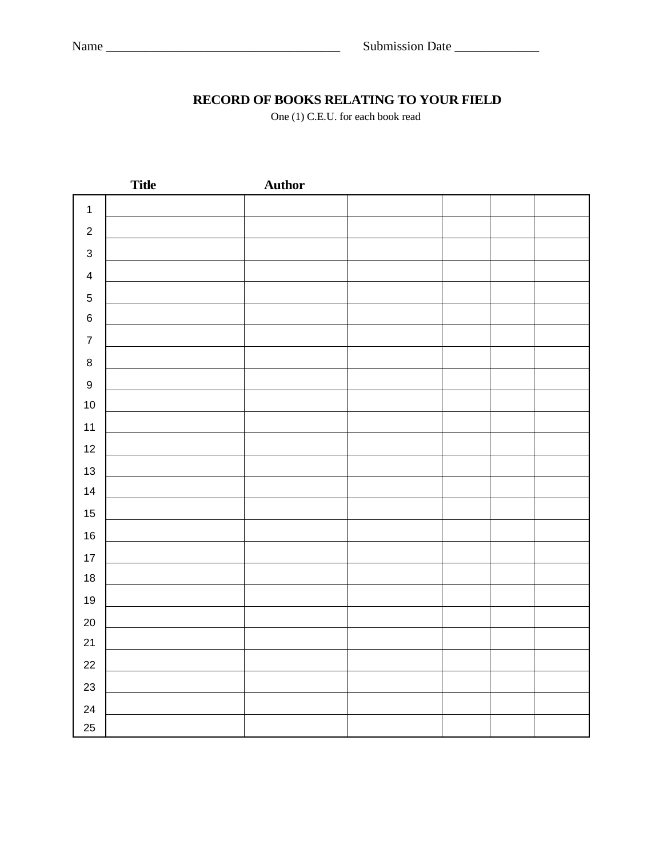# **RECORD OF BOOKS RELATING TO YOUR FIELD**

One (1) C.E.U. for each book read

|                         | <b>Title</b> | <b>Author</b> |  |  |
|-------------------------|--------------|---------------|--|--|
| $\mathbf{1}$            |              |               |  |  |
| $\sqrt{2}$              |              |               |  |  |
| $\sqrt{3}$              |              |               |  |  |
| $\overline{\mathbf{4}}$ |              |               |  |  |
| $\,$ 5 $\,$             |              |               |  |  |
| $\,6$                   |              |               |  |  |
| $\boldsymbol{7}$        |              |               |  |  |
| $\bf 8$                 |              |               |  |  |
| $\boldsymbol{9}$        |              |               |  |  |
| $10$                    |              |               |  |  |
| $11$                    |              |               |  |  |
| 12                      |              |               |  |  |
| 13                      |              |               |  |  |
| 14                      |              |               |  |  |
| 15                      |              |               |  |  |
| 16                      |              |               |  |  |
| $17\,$                  |              |               |  |  |
| $18$                    |              |               |  |  |
| 19                      |              |               |  |  |
| $20\,$                  |              |               |  |  |
| 21                      |              |               |  |  |
| 22                      |              |               |  |  |
| 23                      |              |               |  |  |
| 24                      |              |               |  |  |
| 25                      |              |               |  |  |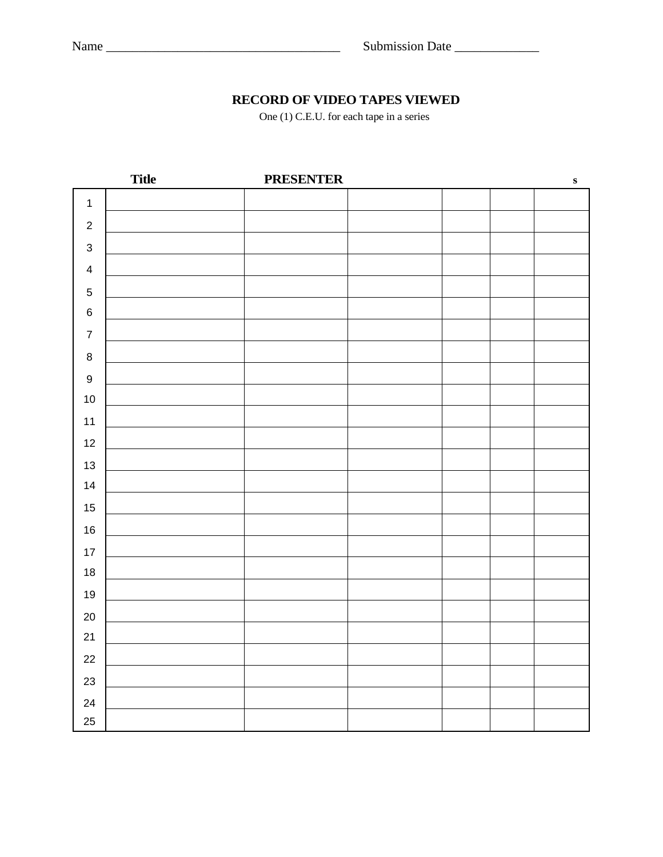# **RECORD OF VIDEO TAPES VIEWED**

One (1) C.E.U. for each tape in a series

|                         | <b>Title</b> | <b>PRESENTER</b> |  | ${\bf S}$ |
|-------------------------|--------------|------------------|--|-----------|
| $\mathbf{1}$            |              |                  |  |           |
| $\sqrt{2}$              |              |                  |  |           |
| $\mathsf 3$             |              |                  |  |           |
| $\overline{\mathbf{4}}$ |              |                  |  |           |
| $\,$ 5 $\,$             |              |                  |  |           |
| $\,6$                   |              |                  |  |           |
| $\boldsymbol{7}$        |              |                  |  |           |
| $\bf 8$                 |              |                  |  |           |
| $\boldsymbol{9}$        |              |                  |  |           |
| $10$                    |              |                  |  |           |
| 11                      |              |                  |  |           |
| 12                      |              |                  |  |           |
| 13                      |              |                  |  |           |
| 14                      |              |                  |  |           |
| 15                      |              |                  |  |           |
| $16\,$                  |              |                  |  |           |
| $17$                    |              |                  |  |           |
| $18$                    |              |                  |  |           |
| 19                      |              |                  |  |           |
| $20\,$                  |              |                  |  |           |
| 21                      |              |                  |  |           |
| 22                      |              |                  |  |           |
| 23                      |              |                  |  |           |
| 24                      |              |                  |  |           |
| 25                      |              |                  |  |           |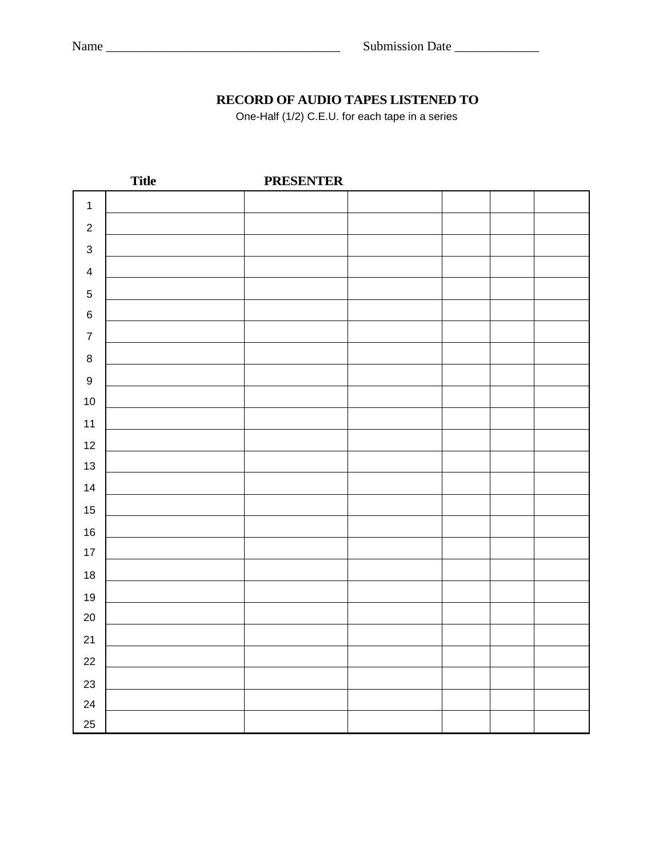# **RECORD OF AUDIO TAPES LISTENED TO**

One-Half (1/2) C.E.U. for each tape in a series

|                         | <b>Title</b> | <b>PRESENTER</b> |  |  |
|-------------------------|--------------|------------------|--|--|
| $\mathbf{1}$            |              |                  |  |  |
| $\sqrt{2}$              |              |                  |  |  |
| $\mathsf 3$             |              |                  |  |  |
| $\overline{\mathbf{4}}$ |              |                  |  |  |
| $\sqrt{5}$              |              |                  |  |  |
| $\,6$                   |              |                  |  |  |
| $\boldsymbol{7}$        |              |                  |  |  |
| $\bf 8$                 |              |                  |  |  |
| $\boldsymbol{9}$        |              |                  |  |  |
| $10$                    |              |                  |  |  |
| 11                      |              |                  |  |  |
| 12                      |              |                  |  |  |
| 13                      |              |                  |  |  |
| 14                      |              |                  |  |  |
| 15                      |              |                  |  |  |
| $16\,$                  |              |                  |  |  |
| $17$                    |              |                  |  |  |
| $18$                    |              |                  |  |  |
| 19                      |              |                  |  |  |
| $20\,$                  |              |                  |  |  |
| 21                      |              |                  |  |  |
| 22                      |              |                  |  |  |
| 23                      |              |                  |  |  |
| 24                      |              |                  |  |  |
| 25                      |              |                  |  |  |